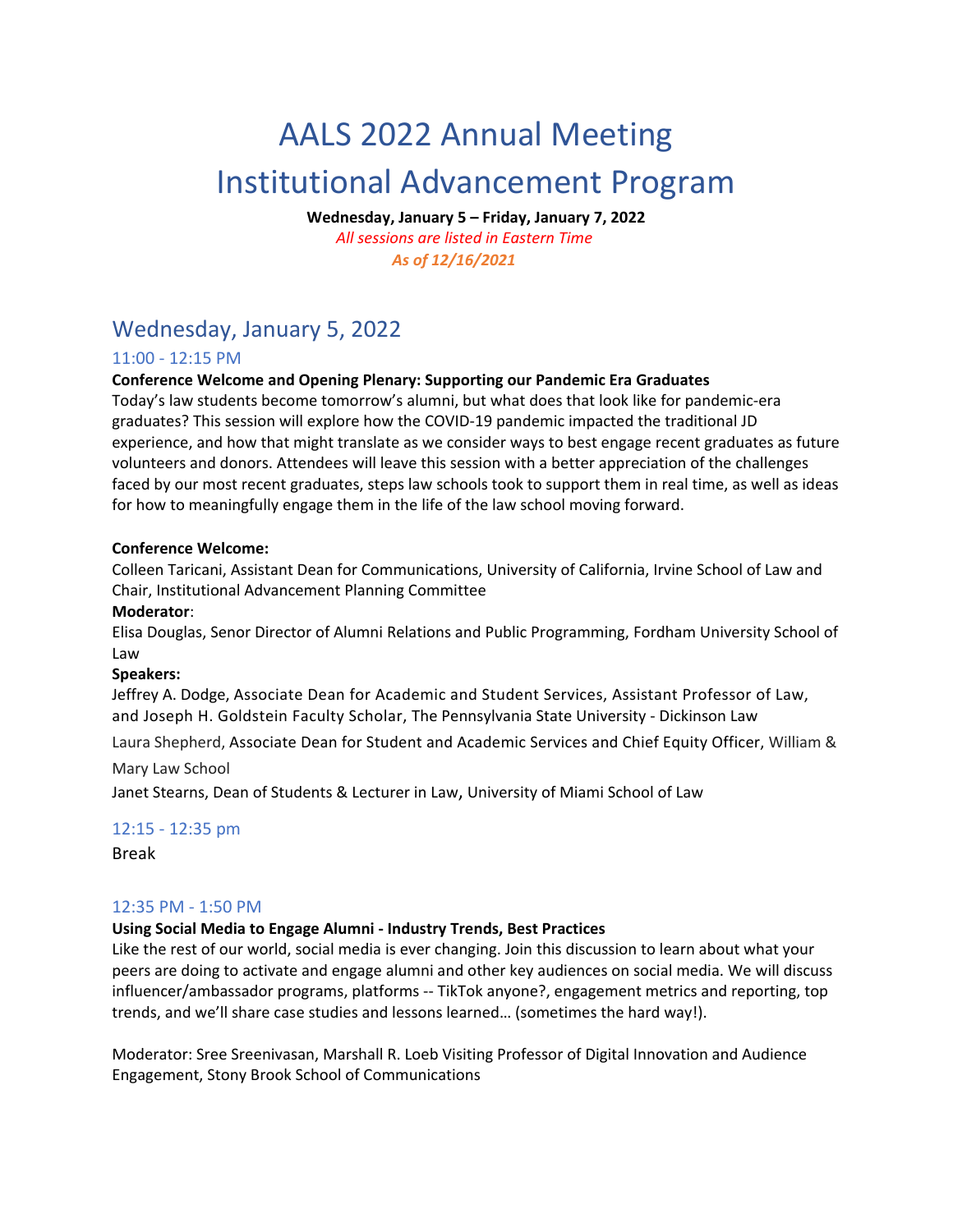# AALS 2022 Annual Meeting Institutional Advancement Program

**Wednesday, January 5 – Friday, January 7, 2022** 

*All sessions are listed in Eastern Time As of 12/16/2021* 

## Wednesday, January 5, 2022

## 11:00 ‐ 12:15 PM

## **Conference Welcome and Opening Plenary: Supporting our Pandemic Era Graduates**

Today's law students become tomorrow's alumni, but what does that look like for pandemic‐era graduates? This session will explore how the COVID‐19 pandemic impacted the traditional JD experience, and how that might translate as we consider ways to best engage recent graduates as future volunteers and donors. Attendees will leave this session with a better appreciation of the challenges faced by our most recent graduates, steps law schools took to support them in real time, as well as ideas for how to meaningfully engage them in the life of the law school moving forward.

#### **Conference Welcome:**

Colleen Taricani, Assistant Dean for Communications, University of California, Irvine School of Law and Chair, Institutional Advancement Planning Committee

#### **Moderator**:

Elisa Douglas, Senor Director of Alumni Relations and Public Programming, Fordham University School of Law

#### **Speakers:**

Jeffrey A. Dodge, Associate Dean for Academic and Student Services, Assistant Professor of Law, and Joseph H. Goldstein Faculty Scholar, The Pennsylvania State University ‐ Dickinson Law

Laura Shepherd, Associate Dean for Student and Academic Services and Chief Equity Officer, William &

#### Mary Law School

Janet Stearns, Dean of Students & Lecturer in Law, University of Miami School of Law

## 12:15 ‐ 12:35 pm

Break

## 12:35 PM ‐ 1:50 PM

## **Using Social Media to Engage Alumni ‐ Industry Trends, Best Practices**

Like the rest of our world, social media is ever changing. Join this discussion to learn about what your peers are doing to activate and engage alumni and other key audiences on social media. We will discuss influencer/ambassador programs, platforms ‐‐ TikTok anyone?, engagement metrics and reporting, top trends, and we'll share case studies and lessons learned… (sometimes the hard way!).

Moderator: Sree Sreenivasan, Marshall R. Loeb Visiting Professor of Digital Innovation and Audience Engagement, Stony Brook School of Communications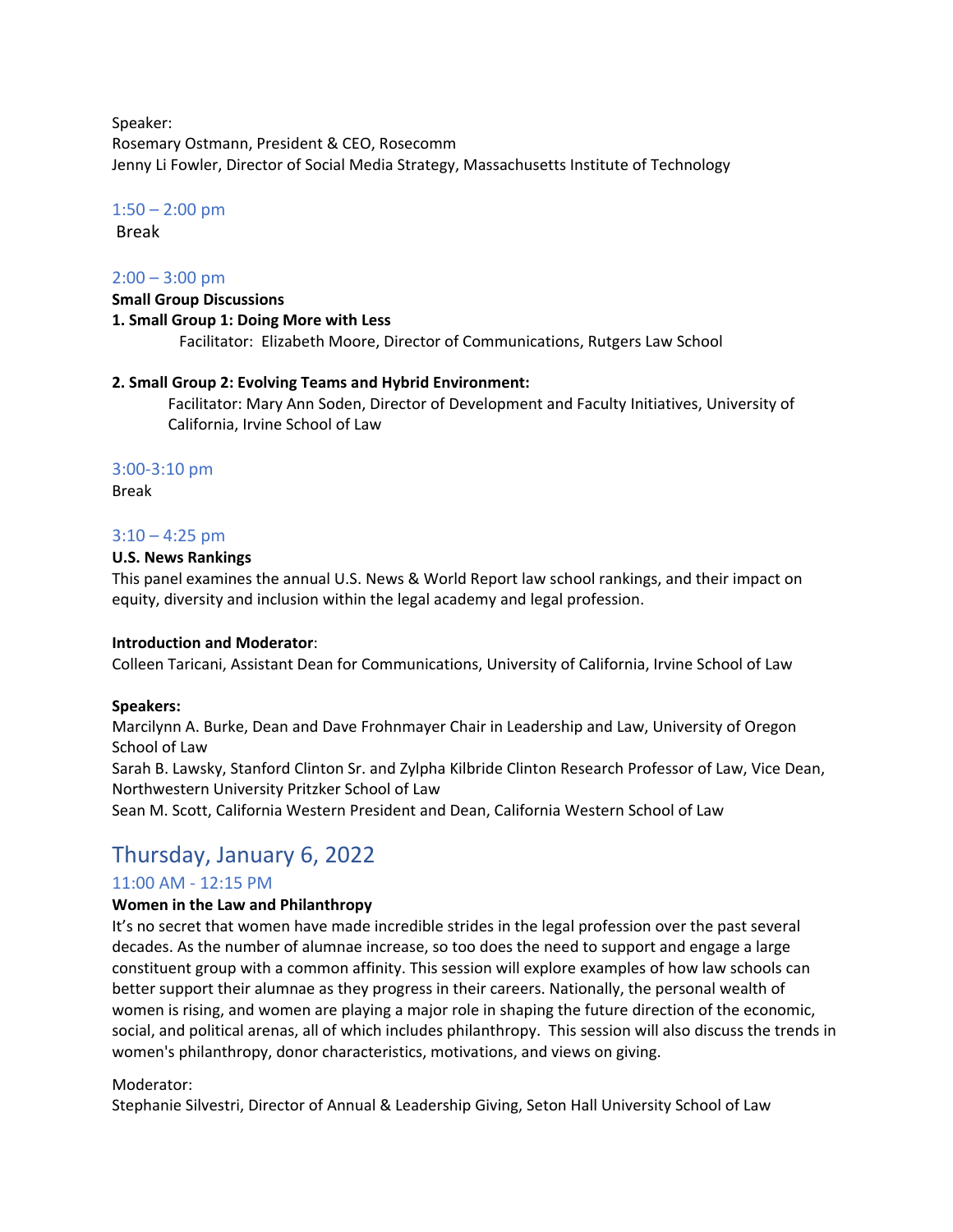Speaker: Rosemary Ostmann, President & CEO, Rosecomm Jenny Li Fowler, Director of Social Media Strategy, Massachusetts Institute of Technology

#### $1:50 - 2:00$  pm

Break

#### $2:00 - 3:00$  pm

#### **Small Group Discussions 1. Small Group 1: Doing More with Less** Facilitator: Elizabeth Moore, Director of Communications, Rutgers Law School

#### **2. Small Group 2: Evolving Teams and Hybrid Environment:**

Facilitator: Mary Ann Soden, Director of Development and Faculty Initiatives, University of California, Irvine School of Law

#### 3:00‐3:10 pm

Break

#### $3:10 - 4:25$  pm

#### **U.S. News Rankings**

This panel examines the annual U.S. News & World Report law school rankings, and their impact on equity, diversity and inclusion within the legal academy and legal profession.

#### **Introduction and Moderator**:

Colleen Taricani, Assistant Dean for Communications, University of California, Irvine School of Law

#### **Speakers:**

Marcilynn A. Burke, Dean and Dave Frohnmayer Chair in Leadership and Law, University of Oregon School of Law

Sarah B. Lawsky, Stanford Clinton Sr. and Zylpha Kilbride Clinton Research Professor of Law, Vice Dean, Northwestern University Pritzker School of Law

Sean M. Scott, California Western President and Dean, California Western School of Law

# Thursday, January 6, 2022

#### 11:00 AM ‐ 12:15 PM

#### **Women in the Law and Philanthropy**

It's no secret that women have made incredible strides in the legal profession over the past several decades. As the number of alumnae increase, so too does the need to support and engage a large constituent group with a common affinity. This session will explore examples of how law schools can better support their alumnae as they progress in their careers. Nationally, the personal wealth of women is rising, and women are playing a major role in shaping the future direction of the economic, social, and political arenas, all of which includes philanthropy. This session will also discuss the trends in women's philanthropy, donor characteristics, motivations, and views on giving.

#### Moderator:

Stephanie Silvestri, Director of Annual & Leadership Giving, Seton Hall University School of Law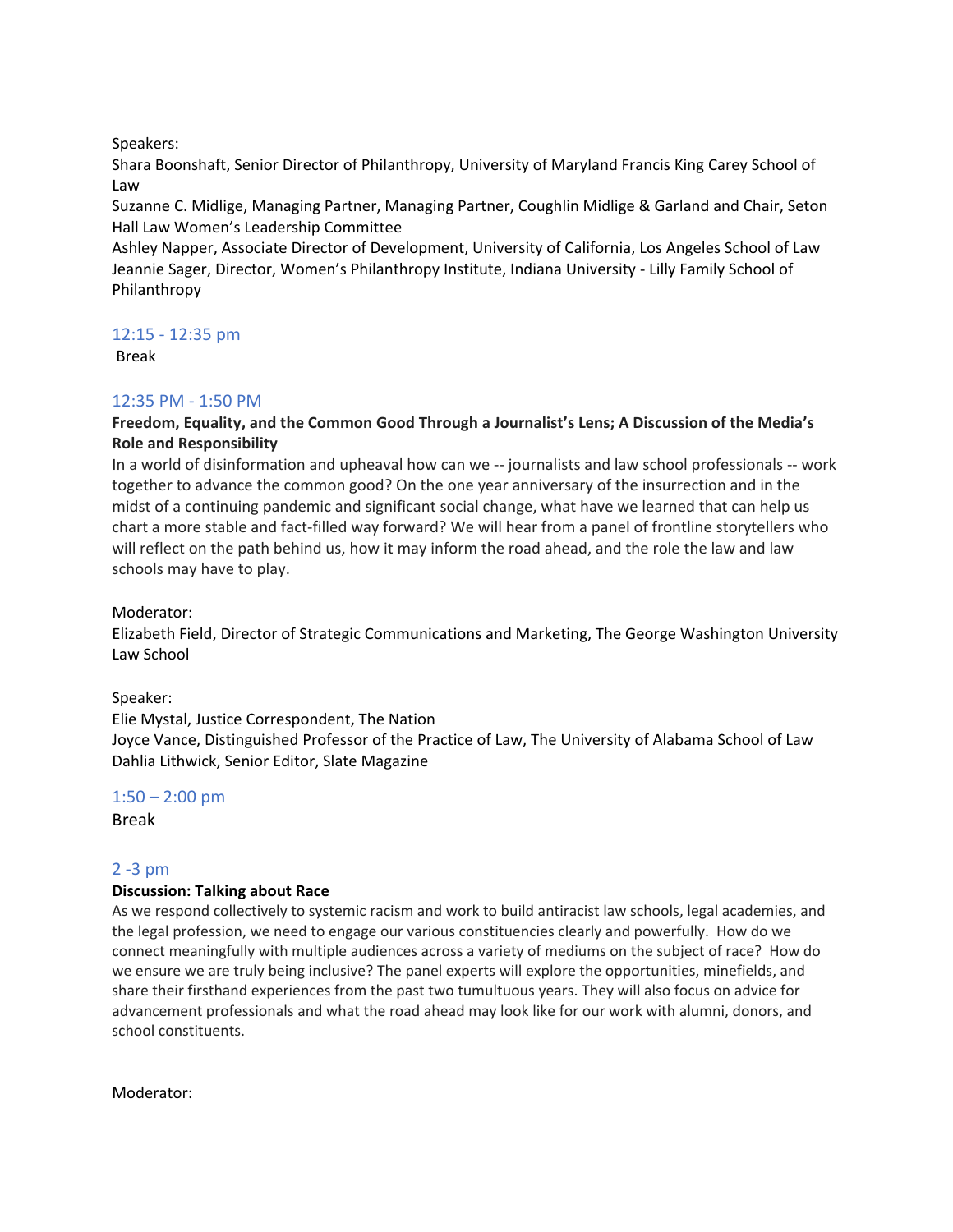Speakers:

Shara Boonshaft, Senior Director of Philanthropy, University of Maryland Francis King Carey School of Law

Suzanne C. Midlige, Managing Partner, Managing Partner, Coughlin Midlige & Garland and Chair, Seton Hall Law Women's Leadership Committee

Ashley Napper, Associate Director of Development, University of California, Los Angeles School of Law Jeannie Sager, Director, Women's Philanthropy Institute, Indiana University ‐ Lilly Family School of Philanthropy

12:15 ‐ 12:35 pm

Break

## 12:35 PM ‐ 1:50 PM

### **Freedom, Equality, and the Common Good Through a Journalist's Lens; A Discussion of the Media's Role and Responsibility**

In a world of disinformation and upheaval how can we -- journalists and law school professionals -- work together to advance the common good? On the one year anniversary of the insurrection and in the midst of a continuing pandemic and significant social change, what have we learned that can help us chart a more stable and fact‐filled way forward? We will hear from a panel of frontline storytellers who will reflect on the path behind us, how it may inform the road ahead, and the role the law and law schools may have to play.

Moderator:

Elizabeth Field, Director of Strategic Communications and Marketing, The George Washington University Law School

Speaker:

Elie Mystal, Justice Correspondent, The Nation Joyce Vance, Distinguished Professor of the Practice of Law, The University of Alabama School of Law Dahlia Lithwick, Senior Editor, Slate Magazine

 $1:50 - 2:00$  pm

Break

## 2 ‐3 pm

#### **Discussion: Talking about Race**

As we respond collectively to systemic racism and work to build antiracist law schools, legal academies, and the legal profession, we need to engage our various constituencies clearly and powerfully. How do we connect meaningfully with multiple audiences across a variety of mediums on the subject of race? How do we ensure we are truly being inclusive? The panel experts will explore the opportunities, minefields, and share their firsthand experiences from the past two tumultuous years. They will also focus on advice for advancement professionals and what the road ahead may look like for our work with alumni, donors, and school constituents.

Moderator: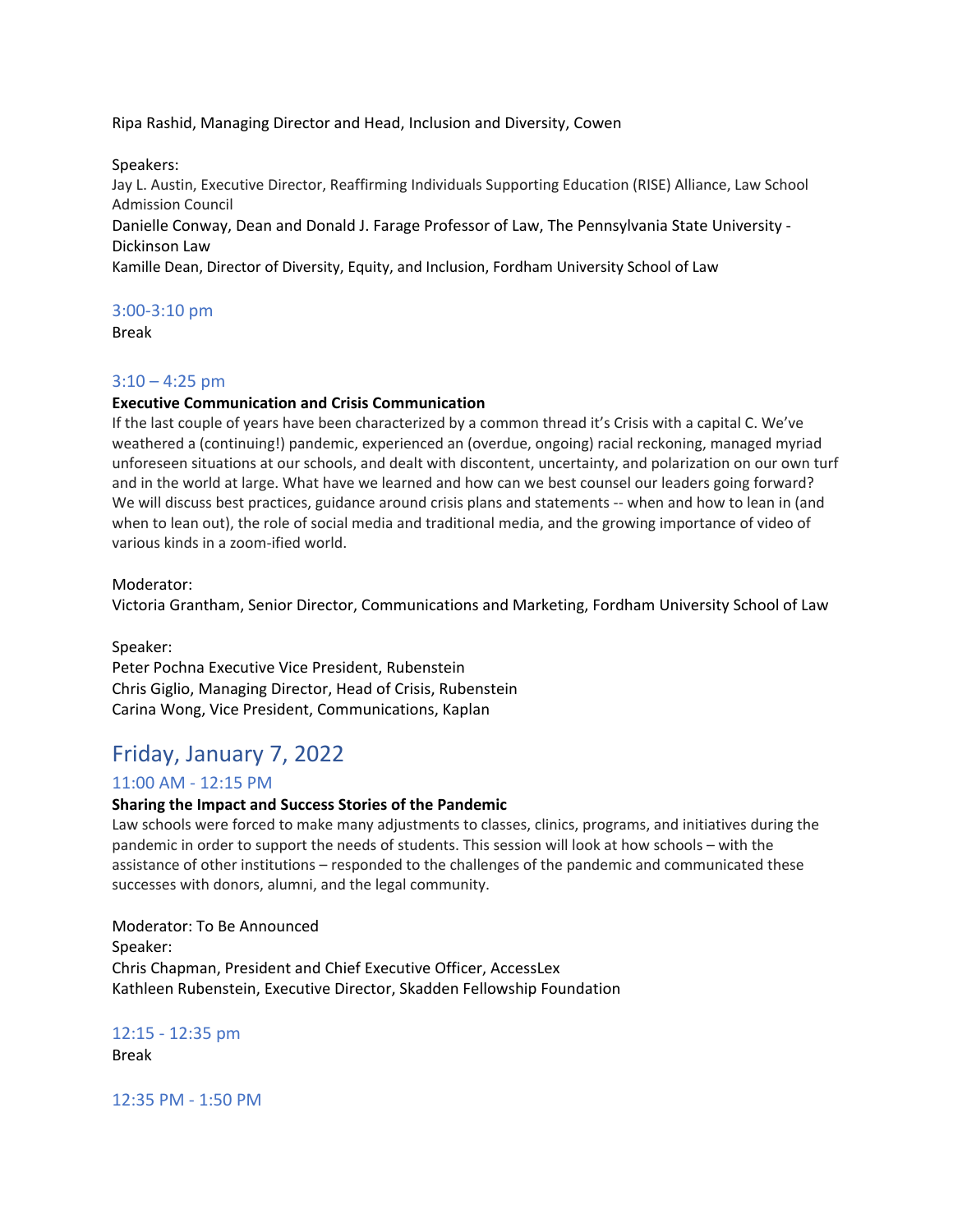Ripa Rashid, Managing Director and Head, Inclusion and Diversity, Cowen

Speakers:

Jay L. Austin, Executive Director, Reaffirming Individuals Supporting Education (RISE) Alliance, Law School Admission Council

Danielle Conway, Dean and Donald J. Farage Professor of Law, The Pennsylvania State University ‐ Dickinson Law

Kamille Dean, Director of Diversity, Equity, and Inclusion, Fordham University School of Law

#### 3:00‐3:10 pm

Break

#### $3:10 - 4:25$  pm

#### **Executive Communication and Crisis Communication**

If the last couple of years have been characterized by a common thread it's Crisis with a capital C. We've weathered a (continuing!) pandemic, experienced an (overdue, ongoing) racial reckoning, managed myriad unforeseen situations at our schools, and dealt with discontent, uncertainty, and polarization on our own turf and in the world at large. What have we learned and how can we best counsel our leaders going forward? We will discuss best practices, guidance around crisis plans and statements -- when and how to lean in (and when to lean out), the role of social media and traditional media, and the growing importance of video of various kinds in a zoom‐ified world.

Moderator:

Victoria Grantham, Senior Director, Communications and Marketing, Fordham University School of Law

Speaker: Peter Pochna Executive Vice President, Rubenstein Chris Giglio, Managing Director, Head of Crisis, Rubenstein Carina Wong, Vice President, Communications, Kaplan

# Friday, January 7, 2022

#### 11:00 AM ‐ 12:15 PM

#### **Sharing the Impact and Success Stories of the Pandemic**

Law schools were forced to make many adjustments to classes, clinics, programs, and initiatives during the pandemic in order to support the needs of students. This session will look at how schools – with the assistance of other institutions – responded to the challenges of the pandemic and communicated these successes with donors, alumni, and the legal community.

Moderator: To Be Announced Speaker: Chris Chapman, President and Chief Executive Officer, AccessLex Kathleen Rubenstein, Executive Director, Skadden Fellowship Foundation

## 12:15 ‐ 12:35 pm

Break

12:35 PM ‐ 1:50 PM